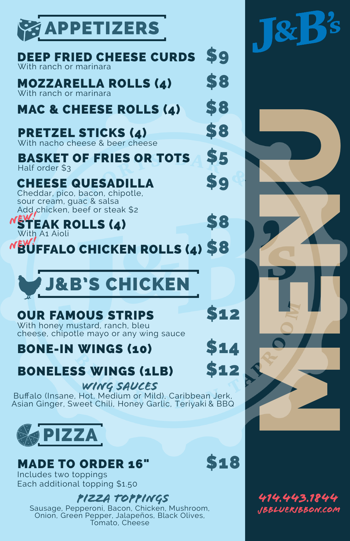

#### \$8 \$8 MOZZARELLA ROLLS (4) With ranch or marinara

\$9

\$8

\$5

## MAC & CHEESE ROLLS (4)

| <b>DEEP FRIED CHEESE CURDS \$9</b> |  |
|------------------------------------|--|
| With ranch or marinara             |  |

# PRETZEL STICKS (4)

With nacho cheese & beer cheese

### CHEESE QUESADILLA

BASKET OF FRIES OR TOTS Half order \$3

Asian Ginger, Sweet Chili, Honey Garlic, Teriyaki & BBQ Bufalo (Insane, Hot, Medium or Mild), Caribbean Jerk,





\$8

Add chicken, beef or steak \$2 Cheddar, pico, bacon, chipotle, sour cream, guac & salsa

#### **STEAK ROLLS (4)** With A1 Aioli

**EV**UFFALO CHICKEN ROLLS (4) \$8

\$12

\$14

\$12

### OUR FAMOUS STRIPS

## BONE-IN WINGS (10)

# BONELESS WINGS (1LB)

WING SAUCES

With honey mustard, ranch, bleu cheese, chipotle mayo or any wing sauce



Includes two toppings Each additional topping \$1.50

#### PIZZA TOPPINGS



### MADE TO ORDER 16" S18

Sausage, Pepperoni, Bacon, Chicken, Mushroom, Onion, Green Pepper, Jalapeños, Black Olives, Tomato, Cheese